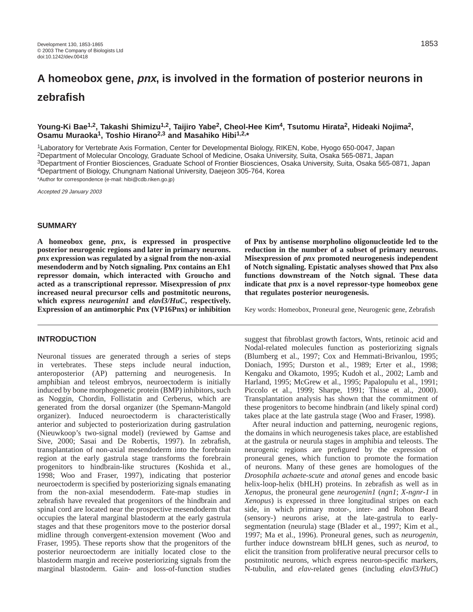# **A homeobox gene, pnx, is involved in the formation of posterior neurons in zebrafish**

## **Young-Ki Bae1,2, Takashi Shimizu1,2, Taijiro Yabe2, Cheol-Hee Kim4, Tsutomu Hirata2, Hideaki Nojima2, Osamu Muraoka1, Toshio Hirano2,3 and Masahiko Hibi1,2,\***

1Laboratory for Vertebrate Axis Formation, Center for Developmental Biology, RIKEN, Kobe, Hyogo 650-0047, Japan 2Department of Molecular Oncology, Graduate School of Medicine, Osaka University, Suita, Osaka 565-0871, Japan 3Department of Frontier Biosciences, Graduate School of Frontier Biosciences, Osaka University, Suita, Osaka 565-0871, Japan 4Department of Biology, Chungnam National University, Daejeon 305-764, Korea \*Author for correspondence (e-mail: hibi@cdb.riken.go.jp)

Accepted 29 January 2003

## **SUMMARY**

**A homeobox gene,** *pnx***, is expressed in prospective posterior neurogenic regions and later in primary neurons.** *pnx* **expression was regulated by a signal from the non-axial mesendoderm and by Notch signaling. Pnx contains an Eh1 repressor domain, which interacted with Groucho and acted as a transcriptional repressor. Misexpression of** *pnx* **increased neural precursor cells and postmitotic neurons, which express** *neurogenin1* **and** *elavl3/HuC***, respectively. Expression of an antimorphic Pnx (VP16Pnx) or inhibition**

## **INTRODUCTION**

Neuronal tissues are generated through a series of steps in vertebrates. These steps include neural induction, anteroposterior (AP) patterning and neurogenesis. In amphibian and teleost embryos, neuroectoderm is initially induced by bone morphogenetic protein (BMP) inhibitors, such as Noggin, Chordin, Follistatin and Cerberus, which are generated from the dorsal organizer (the Spemann-Mangold organizer). Induced neuroectoderm is characteristically anterior and subjected to posteriorization during gastrulation (Nieuwkoop's two-signal model) (reviewed by Gamse and Sive, 2000; Sasai and De Robertis, 1997). In zebrafish, transplantation of non-axial mesendoderm into the forebrain region at the early gastrula stage transforms the forebrain progenitors to hindbrain-like structures (Koshida et al., 1998; Woo and Fraser, 1997), indicating that posterior neuroectoderm is specified by posteriorizing signals emanating from the non-axial mesendoderm. Fate-map studies in zebrafish have revealed that progenitors of the hindbrain and spinal cord are located near the prospective mesendoderm that occupies the lateral marginal blastoderm at the early gastrula stages and that these progenitors move to the posterior dorsal midline through convergent-extension movement (Woo and Fraser, 1995). These reports show that the progenitors of the posterior neuroectoderm are initially located close to the blastoderm margin and receive posteriorizing signals from the marginal blastoderm. Gain- and loss-of-function studies

**of Pnx by antisense morpholino oligonucleotide led to the reduction in the number of a subset of primary neurons. Misexpression of** *pnx* **promoted neurogenesis independent of Notch signaling. Epistatic analyses showed that Pnx also functions downstream of the Notch signal. These data indicate that** *pnx* **is a novel repressor-type homeobox gene that regulates posterior neurogenesis.**

Key words: Homeobox, Proneural gene, Neurogenic gene, Zebrafish

suggest that fibroblast growth factors, Wnts, retinoic acid and Nodal-related molecules function as posteriorizing signals (Blumberg et al., 1997; Cox and Hemmati-Brivanlou, 1995; Doniach, 1995; Durston et al., 1989; Erter et al., 1998; Kengaku and Okamoto, 1995; Kudoh et al., 2002; Lamb and Harland, 1995; McGrew et al., 1995; Papalopulu et al., 1991; Piccolo et al., 1999; Sharpe, 1991; Thisse et al., 2000). Transplantation analysis has shown that the commitment of these progenitors to become hindbrain (and likely spinal cord) takes place at the late gastrula stage (Woo and Fraser, 1998).

After neural induction and patterning, neurogenic regions, the domains in which neurogenesis takes place, are established at the gastrula or neurula stages in amphibia and teleosts. The neurogenic regions are prefigured by the expression of proneural genes, which function to promote the formation of neurons. Many of these genes are homologues of the *Drosophila achaete-scute* and *atonal* genes and encode basic helix-loop-helix (bHLH) proteins. In zebrafish as well as in *Xenopus*, the proneural gene *neurogenin1* (*ngn1*; *X-ngnr-1* in *Xenopus*) is expressed in three longitudinal stripes on each side, in which primary motor-, inter- and Rohon Beard (sensory-) neurons arise, at the late-gastrula to earlysegmentation (neurula) stage (Blader et al., 1997; Kim et al., 1997; Ma et al., 1996). Proneural genes, such as *neurogenin*, further induce downstream bHLH genes, such as *neurod*, to elicit the transition from proliferative neural precursor cells to postmitotic neurons, which express neuron-specific markers, N-tubulin, and *elav*-related genes (including *elavl3/HuC*)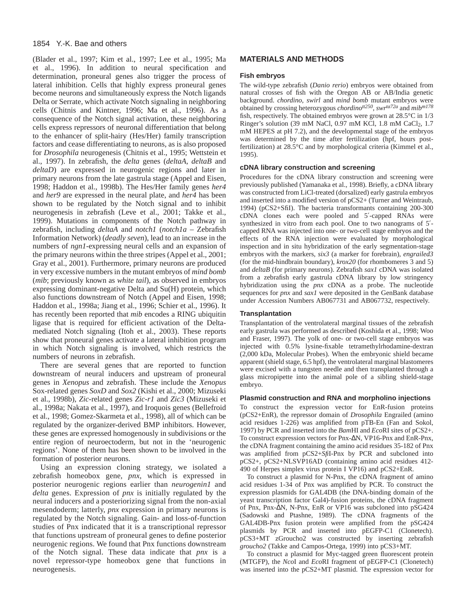(Blader et al., 1997; Kim et al., 1997; Lee et al., 1995; Ma et al., 1996). In addition to neural specification and determination, proneural genes also trigger the process of lateral inhibition. Cells that highly express proneural genes become neurons and simultaneously express the Notch ligands Delta or Serrate, which activate Notch signaling in neighboring cells (Chitnis and Kintner, 1996; Ma et al., 1996). As a consequence of the Notch signal activation, these neighboring cells express repressors of neuronal differentiation that belong to the enhancer of split-hairy (Hes/Her) family transcription factors and cease differentiating to neurons, as is also proposed for *Drosophila* neurogenesis (Chitnis et al., 1995; Wettstein et al., 1997). In zebrafish, the *delta* genes (*deltaA*, *deltaB* and *deltaD*) are expressed in neurogenic regions and later in primary neurons from the late gastrula stage (Appel and Eisen, 1998; Haddon et al., 1998b). The Hes/Her family genes *her4* and *her9* are expressed in the neural plate, and *her4* has been shown to be regulated by the Notch signal and to inhibit neurogenesis in zebrafish (Leve et al., 2001; Takke et al., 1999). Mutations in components of the Notch pathway in zebrafish, including *deltaA* and *notch1* (*notch1a* – Zebrafish Information Network) (*deadly seven*), lead to an increase in the numbers of *ngn1*-expressing neural cells and an expansion of the primary neurons within the three stripes (Appel et al., 2001; Gray et al., 2001). Furthermore, primary neurons are produced in very excessive numbers in the mutant embryos of *mind bomb* (*mib*; previously known as *white tail*), as observed in embryos expressing dominant-negative Delta and Su(H) protein, which also functions downstream of Notch (Appel and Eisen, 1998; Haddon et al., 1998a; Jiang et al., 1996; Schier et al., 1996). It has recently been reported that *mib* encodes a RING ubiquitin ligase that is required for efficient activation of the Deltamediated Notch signaling (Itoh et al., 2003). These reports show that proneural genes activate a lateral inhibition program in which Notch signaling is involved, which restricts the numbers of neurons in zebrafish.

There are several genes that are reported to function downstream of neural inducers and upstream of proneural genes in *Xenopus* and zebrafish. These include the *Xenopus* Sox-related genes *SoxD* and *Sox2* (Kishi et al., 2000; Mizuseki et al., 1998b), *Zic*-related genes *Zic-r1* and *Zic3* (Mizuseki et al., 1998a; Nakata et al., 1997), and Iroquois genes (Bellefroid et al., 1998; Gomez-Skarmeta et al., 1998), all of which can be regulated by the organizer-derived BMP inhibitors. However, these genes are expressed homogenously in subdivisions or the entire region of neuroectoderm, but not in the 'neurogenic regions'. None of them has been shown to be involved in the formation of posterior neurons.

Using an expression cloning strategy, we isolated a zebrafish homeobox gene, *pnx*, which is expressed in posterior neurogenic regions earlier than *neurogenin1* and *delta* genes. Expression of *pnx* is initially regulated by the neural inducers and a posteriorizing signal from the non-axial mesendoderm; latterly, *pnx* expression in primary neurons is regulated by the Notch signaling. Gain- and loss-of-function studies of Pnx indicated that it is a transcriptional repressor that functions upstream of proneural genes to define posterior neurogenic regions. We found that Pnx functions downstream of the Notch signal. These data indicate that *pnx* is a novel repressor-type homeobox gene that functions in neurogenesis.

# **MATERIALS AND METHODS**

#### **Fish embryos**

The wild-type zebrafish (*Danio rerio*) embryos were obtained from natural crosses of fish with the Oregon AB or AB/India genetic background. *chordino*, *swirl* and *mind bomb* mutant embryos were obtained by crossing heterozygous *chordinott250*, *swrta72a* and *mibm178* fish, respectively. The obtained embryos were grown at 28.5°C in 1/3 Ringer's solution (39 mM NaCl, 0.97 mM KCl, 1.8 mM CaCl<sub>2</sub>, 1.7 mM HEPES at pH 7.2), and the developmental stage of the embryos was determined by the time after fertilization (hpf, hours postfertilization) at 28.5°C and by morphological criteria (Kimmel et al., 1995).

#### **cDNA library construction and screening**

Procedures for the cDNA library construction and screening were previously published (Yamanaka et al., 1998). Briefly, a cDNA library was constructed from LiCl-treated (dorsalized) early gastrula embryos and inserted into a modified version of pCS2+ (Turner and Weintraub, 1994) (pCS2+SfiI). The bacteria transformants containing 200-300 cDNA clones each were pooled and 5′-capped RNAs were synthesized in vitro from each pool. One to two nanograms of 5′ capped RNA was injected into one- or two-cell stage embryos and the effects of the RNA injection were evaluated by morphological inspection and in situ hybridization of the early segmentation-stage embryos with the markers, *six3* (a marker for forebrain), *engrailed3* (for the mid-hindbrain boundary), *krox20* (for rhombomeres 3 and 5) and *deltaB* (for primary neurons). Zebrafish *sax1* cDNA was isolated from a zebrafish early gastrula cDNA library by low stringency hybridization using the *pnx* cDNA as a probe. The nucleotide sequences for *pnx* and *sax1* were deposited in the GenBank database under Accession Numbers AB067731 and AB067732, respectively.

#### **Transplantation**

Transplantation of the ventrolateral marginal tissues of the zebrafish early gastrula was performed as described (Koshida et al., 1998; Woo and Fraser, 1997). The yolk of one- or two-cell stage embryos was injected with 0.5% lysine-fixable tetramethylrhodamine-dextran (2,000 kDa, Molecular Probes). When the embryonic shield became apparent (shield stage, 6.5 hpf), the ventrolateral marginal blastomeres were excised with a tungsten needle and then transplanted through a glass micropipette into the animal pole of a sibling shield-stage embryo.

#### **Plasmid construction and RNA and morpholino injections**

To construct the expression vector for EnR-fusion proteins (pCS2+EnR), the repressor domain of *Drosophila* Engrailed (amino acid residues 1-226) was amplified from pTB-En (Fan and Sokol, 1997) by PCR and inserted into the *Bam*HI and *Eco*RI sites of pCS2+. To construct expression vectors for Pnx-∆N, VP16-Pnx and EnR-Pnx, the cDNA fragment containing the amino acid residues 35-182 of Pnx was amplified from pCS2+*Sfi*I-Pnx by PCR and subcloned into pCS2+, pCS2+NLSVP16AD (containing amino acid residues 412- 490 of Herpes simplex virus protein I VP16) and pCS2+EnR.

To construct a plasmid for N-Pnx, the cDNA fragment of amino acid residues 1-34 of Pnx was amplified by PCR. To construct the expression plasmids for GAL4DB (the DNA-binding domain of the yeast transcription factor Gal4)-fusion proteins, the cDNA fragment of Pnx, Pnx-∆N, N-Pnx, EnR or VP16 was subcloned into pSG424 (Sadowski and Ptashne, 1989). The cDNA fragments of the GAL4DB-Pnx fusion protein were amplified from the pSG424 plasmids by PCR and inserted into pEGFP-C1 (Clonetech). pCS3+MT zGroucho2 was constructed by inserting zebrafish *groucho2* (Takke and Campos-Ortega, 1999) into pCS3+MT.

To construct a plasmid for Myc-tagged green fluorescent protein (MTGFP), the *Nco*I and *Eco*RI fragment of pEGFP-C1 (Clonetech) was inserted into the pCS2+MT plasmid. The expression vector for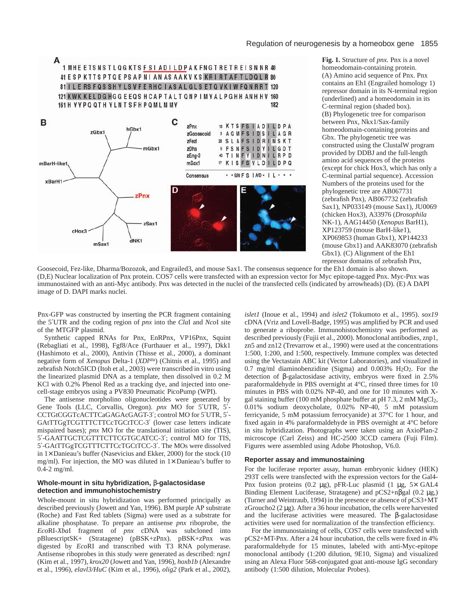

**Fig. 1.** Structure of *pnx.* Pnx is a novel homeodomain-containing protein. (A) Amino acid sequence of Pnx. Pnx contains an Eh1 (Engrailed homology 1) repressor domain in its N-terminal region (underlined) and a homeodomain in its C-terminal region (shaded box). (B) Phylogenetic tree for comparison between Pnx, Nkx1/Sax-family homeodomain-containing proteins and Gbx. The phylogenetic tree was constructed using the ClustalW program provided by DDBJ and the full-length amino acid sequences of the proteins (except for chick Hox3, which has only a C-terminal partial sequence). Accession Numbers of the proteins used for the phylogenetic tree are AB067731 (zebrafish Pnx), AB067732 (zebrafish Sax1), NP033149 (mouse Sax1), JU0069 (chicken Hox3), A33976 (*Drosophila* NK-1), AAG14450 (*Xenopus* BarH1), XP123759 (mouse BarH-like1), XP069853 (human Gbx1), XP144233 (mouse Gbx1) and AAK83070 (zebrafish Gbx1). (C) Alignment of the Eh1 repressor domains of zebrafish Pnx,

Goosecoid, Fez-like, Dharma/Bozozok, and Engrailed3, and mouse Sax1. The consensus sequence for the Eh1 domain is also shown. (D,E) Nuclear localization of Pnx protein. COS7 cells were transfected with an expression vector for Myc epitope-tagged Pnx. Myc-Pnx was immunostained with an anti-Myc antibody. Pnx was detected in the nuclei of the transfected cells (indicated by arrowheads) (D). (E) A DAPI image of D. DAPI marks nuclei.

Pnx-GFP was constructed by inserting the PCR fragment containing the 5′UTR and the coding region of *pnx* into the *Cla*I and *Nco*I site of the MTGFP plasmid.

Synthetic capped RNAs for Pnx, EnRPnx, VP16Pnx, Squint (Rebagliati et al., 1998), Fgf8/Ace (Furthauer et al., 1997), Dkk1 (Hashimoto et al., 2000), Antivin (Thisse et al., 2000), a dominant negative form of *Xenopus* Delta-1 (*XDlstu*) (Chitnis et al., 1995) and zebrafish Notch5ICD (Itoh et al., 2003) were transcribed in vitro using the linearized plasmid DNA as a template, then dissolved in 0.2 M KCl with 0.2% Phenol Red as a tracking dye, and injected into onecell-stage embryos using a PV830 Pneumatic PicoPump (WPI).

The antisense morpholino oligonucleotides were generated by Gene Tools (LLC, Corvallis, Oregon). *pnx* MO for 5′UTR, 5′- CCTGtCGGTcACTTCaGAGAcGAGT-3′; control MO for 5′UTR, 5′- GAtTTGgTCGTTTCTTCcTGCtTCC-3′ (lower case letters indicate mispaired bases); *pnx* MO for the translational initiation site (TIS), 5′-GAATTGCTCGTTTCTTCGTGCATCC-3′; control MO for TIS, 5′-GAtTTGgTCGTTTCTTCcTGCtTCC-3′. The MOs were dissolved in 1× Danieau's buffer (Nasevicius and Ekker, 2000) for the stock (10 mg/ml). For injection, the MO was diluted in  $1 \times$  Danieau's buffer to 0.4-2 mg/ml.

#### **Whole-mount in situ hybridization,** β**-galactosidase detection and immunohistochemistry**

Whole-mount in situ hybridization was performed principally as described previously (Jowett and Yan, 1996). BM purple AP substrate (Roche) and Fast Red tablets (Sigma) were used as a substrate for alkaline phosphatase. To prepare an antisense *pnx* riboprobe, the *Eco*RI*-Xba*I fragment of *pnx* cDNA was subcloned into pBluescriptSK+ (Stratagene) (pBSK+zPnx). pBSK+zPnx was digested by *Eco*RI and transcribed with T3 RNA polymerase. Antisense riboprobes in this study were generated as described: *ngn1* (Kim et al., 1997), *krox20* (Jowett and Yan, 1996), *hoxb1b* (Alexandre et al., 1996), *elavl3/HuC* (Kim et al., 1996), *olig2* (Park et al., 2002), *islet1* (Inoue et al., 1994) and *islet2* (Tokumoto et al., 1995). *sox19* cDNA (Vriz and Lovell-Badge, 1995) was amplified by PCR and used to generate a riboprobe. Immunohistochemistry was performed as described previously (Fujii et al., 2000). Monoclonal antibodies, znp1, zn5 and zn12 (Trevarrow et al., 1990) were used at the concentrations 1:500, 1:200, and 1:500, respectively. Immune complex was detected using the Vectastain ABC kit (Vector Laboratories), and visualized in 0.7 mg/ml diaminobenzidine (Sigma) and 0.003% H2O2. For the detection of β-galactosidase activity, embryos were fixed in 2.5% paraformaldehyde in PBS overnight at 4°C, rinsed three times for 10 minutes in PBS with 0.02% NP-40, and one for 10 minutes with Xgal staining buffer (100 mM phosphate buffer at pH 7.3, 2 mM MgCl2, 0.01% sodium deoxycholate, 0.02% NP-40, 5 mM potassium ferricyanide, 5 mM potassium ferrocyanide) at 37°C for 1 hour, and fixed again in 4% paraformaldehyde in PBS overnight at 4°C before in situ hybridization. Photographs were taken using an AxioPlan-2 microscope (Carl Zeiss) and HC-2500 3CCD camera (Fuji Film). Figures were assembled using Adobe Photoshop, V6.0.

#### **Reporter assay and immunostaining**

For the luciferase reporter assay, human embryonic kidney (HEK) 293T cells were transfected with the expression vectors for the Gal4- Pnx fusion proteins (0.2 µg), pFR-Luc plasmid (1 µg, 5× GAL4 Binding Element Luciferase, Stratagene) and pCS2+nβgal (0.2 µg,) (Turner and Weintraub, 1994) in the presence or absence of pCS3+MT zGroucho2  $(2 \mu g)$ . After a 36 hour incubation, the cells were harvested and the luciferase activities were measured. The β-galactosidase activities were used for normalization of the transfection efficiency.

For the immunostaining of cells, COS7 cells were transfected with pCS2+MT-Pnx. After a 24 hour incubation, the cells were fixed in 4% paraformaldehyde for 15 minutes, labeled with anti-Myc-epitope monoclonal antibody (1:200 dilution, 9E10, Sigma) and visualized using an Alexa Fluor 568-conjugated goat anti-mouse IgG secondary antibody (1:500 dilution, Molecular Probes).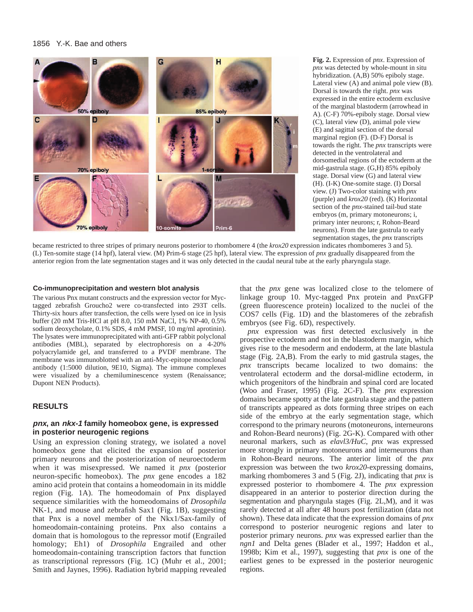

**Fig. 2.** Expression of *pnx*. Expression of *pnx* was detected by whole-mount in situ hybridization. (A,B) 50% epiboly stage. Lateral view (A) and animal pole view (B). Dorsal is towards the right. *pnx* was expressed in the entire ectoderm exclusive of the marginal blastoderm (arrowhead in A). (C-F) 70%-epiboly stage. Dorsal view (C), lateral view (D), animal pole view (E) and sagittal section of the dorsal marginal region (F). (D-F) Dorsal is towards the right. The *pnx* transcripts were detected in the ventrolateral and dorsomedial regions of the ectoderm at the mid-gastrula stage. (G,H) 85% epiboly stage. Dorsal view (G) and lateral view (H). (I-K) One-somite stage. (I) Dorsal view. (J) Two-color staining with *pnx* (purple) and *krox20* (red). (K) Horizontal section of the *pnx*-stained tail-bud state embryos (m, primary motoneurons; i, primary inter neurons; r, Rohon-Beard neurons). From the late gastrula to early segmentation stages, the *pnx* transcripts

became restricted to three stripes of primary neurons posterior to rhombomere 4 (the *krox20* expression indicates rhombomeres 3 and 5). (L) Ten-somite stage (14 hpf), lateral view. (M) Prim-6 stage (25 hpf), lateral view. The expression of *pnx* gradually disappeared from the anterior region from the late segmentation stages and it was only detected in the caudal neural tube at the early pharyngula stage.

#### **Co-immunoprecipitation and western blot analysis**

The various Pnx mutant constructs and the expression vector for Myctagged zebrafish Groucho2 were co-transfected into 293T cells. Thirty-six hours after transfection, the cells were lysed on ice in lysis buffer (20 mM Tris-HCl at pH 8.0, 150 mM NaCl, 1% NP-40, 0.5% sodium deoxycholate, 0.1% SDS, 4 mM PMSF, 10 mg/ml aprotinin). The lysates were immunoprecipitated with anti-GFP rabbit polyclonal antibodies (MBL), separated by electrophoresis on a 4-20% polyacrylamide gel, and transferred to a PVDF membrane. The membrane was immunoblotted with an anti-Myc-epitope monoclonal antibody (1:5000 dilution, 9E10, Sigma). The immune complexes were visualized by a chemiluminescence system (Renaissance; Dupont NEN Products).

### **RESULTS**

## **pnx, an nkx-1 family homeobox gene, is expressed in posterior neurogenic regions**

Using an expression cloning strategy, we isolated a novel homeobox gene that elicited the expansion of posterior primary neurons and the posteriorization of neuroectoderm when it was misexpressed. We named it *pnx* (posterior neuron-specific homeobox). The *pnx* gene encodes a 182 amino acid protein that contains a homeodomain in its middle region (Fig. 1A). The homeodomain of Pnx displayed sequence similarities with the homeodomains of *Drosophila* NK-1, and mouse and zebrafish Sax1 (Fig. 1B), suggesting that Pnx is a novel member of the Nkx1/Sax-family of homeodomain-containing proteins. Pnx also contains a domain that is homologous to the repressor motif (Engrailed homology; Eh1) of *Drosophila* Engrailed and other homeodomain-containing transcription factors that function as transcriptional repressors (Fig. 1C) (Muhr et al., 2001; Smith and Jaynes, 1996). Radiation hybrid mapping revealed that the *pnx* gene was localized close to the telomere of linkage group 10. Myc-tagged Pnx protein and PnxGFP (green fluorescence protein) localized to the nuclei of the COS7 cells (Fig. 1D) and the blastomeres of the zebrafish embryos (see Fig. 6D), respectively.

*pnx* expression was first detected exclusively in the prospective ectoderm and not in the blastoderm margin, which gives rise to the mesoderm and endoderm, at the late blastula stage (Fig. 2A,B). From the early to mid gastrula stages, the *pnx* transcripts became localized to two domains: the ventrolateral ectoderm and the dorsal-midline ectoderm, in which progenitors of the hindbrain and spinal cord are located (Woo and Fraser, 1995) (Fig. 2C-F). The *pnx* expression domains became spotty at the late gastrula stage and the pattern of transcripts appeared as dots forming three stripes on each side of the embryo at the early segmentation stage, which correspond to the primary neurons (motoneurons, interneurons and Rohon-Beard neurons) (Fig. 2G-K). Compared with other neuronal markers, such as *elavl3/HuC*, *pnx* was expressed more strongly in primary motoneurons and interneurons than in Rohon-Beard neurons. The anterior limit of the *pnx* expression was between the two *krox20*-expressing domains, marking rhombomeres 3 and 5 (Fig. 2J), indicating that *pnx* is expressed posterior to rhombomere 4. The *pnx* expression disappeared in an anterior to posterior direction during the segmentation and pharyngula stages (Fig. 2L,M), and it was rarely detected at all after 48 hours post fertilization (data not shown). These data indicate that the expression domains of *pnx* correspond to posterior neurogenic regions and later to posterior primary neurons. *pnx* was expressed earlier than the *ngn1* and Delta genes (Blader et al., 1997; Haddon et al., 1998b; Kim et al., 1997), suggesting that *pnx* is one of the earliest genes to be expressed in the posterior neurogenic regions.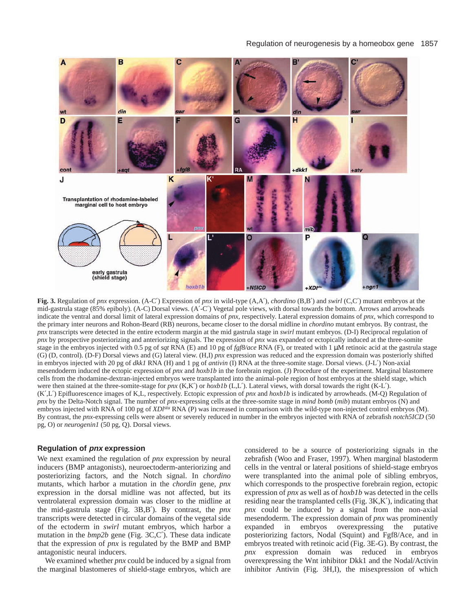

**Fig. 3.** Regulation of *pnx* expression. (A-C′) Expression of *pnx* in wild-type (A,A′), *chordino* (B,B′) and *swirl* (C,C′) mutant embryos at the mid-gastrula stage (85% epiboly). (A-C) Dorsal views. (A′-C′) Vegetal pole views, with dorsal towards the bottom. Arrows and arrowheads indicate the ventral and dorsal limit of lateral expression domains of *pnx*, respectively. Lateral expression domains of *pnx*, which correspond to the primary inter neurons and Rohon-Beard (RB) neurons, became closer to the dorsal midline in *chordino* mutant embryos. By contrast, the *pnx* transcripts were detected in the entire ectoderm margin at the mid gastrula stage in *swirl* mutant embryos. (D-I) Reciprocal regulation of *pnx* by prospective posteriorizing and anteriorizing signals. The expression of *pnx* was expanded or ectopically induced at the three-somite stage in the embryos injected with 0.5 pg of *sqt* RNA (E) and 10 pg of *fgf8/ace* RNA (F), or treated with 1 µM retinoic acid at the gastrula stage (G) (D, control). (D-F) Dorsal views and (G) lateral view. (H,I) *pnx* expression was reduced and the expression domain was posteriorly shifted in embryos injected with 20 pg of *dkk1* RNA (H) and 1 pg of *antivin* (I) RNA at the three-somite stage. Dorsal views. (J-L′) Non-axial mesendoderm induced the ectopic expression of *pnx* and *hoxb1b* in the forebrain region. (J) Procedure of the experiment. Marginal blastomere cells from the rhodamine-dextran-injected embryos were transplanted into the animal-pole region of host embryos at the shield stage, which were then stained at the three-somite-stage for *pnx* (K,K′) or *hoxb1b* (L,L′). Lateral views, with dorsal towards the right (K-L′). (K′,L′) Epifluorescence images of K,L, respectively. Ectopic expression of *pnx* and *hoxb1b* is indicated by arrowheads. (M-Q) Regulation of *pnx* by the Delta-Notch signal. The number of *pnx*-expressing cells at the three-somite stage in *mind bomb* (*mib*) mutant embryos (N) and embryos injected with RNA of 100 pg of *XDlstu* RNA (P) was increased in comparison with the wild-type non-injected control embryos (M). By contrast, the *pnx*-expressing cells were absent or severely reduced in number in the embryos injected with RNA of zebrafish *notch5ICD* (50 pg, O) or *neurogenin1* (50 pg, Q). Dorsal views.

## **Regulation of pnx expression**

We next examined the regulation of *pnx* expression by neural inducers (BMP antagonists), neuroectoderm-anteriorizing and posteriorizing factors, and the Notch signal. In *chordino* mutants, which harbor a mutation in the *chordin* gene, *pnx* expression in the dorsal midline was not affected, but its ventrolateral expression domain was closer to the midline at the mid-gastrula stage (Fig. 3B,B′). By contrast, the *pnx* transcripts were detected in circular domains of the vegetal side of the ectoderm in *swirl* mutant embryos, which harbor a mutation in the *bmp2b* gene (Fig. 3C,C′). These data indicate that the expression of *pnx* is regulated by the BMP and BMP antagonistic neural inducers.

We examined whether *pnx* could be induced by a signal from the marginal blastomeres of shield-stage embryos, which are considered to be a source of posteriorizing signals in the zebrafish (Woo and Fraser, 1997). When marginal blastoderm cells in the ventral or lateral positions of shield-stage embryos were transplanted into the animal pole of sibling embryos, which corresponds to the prospective forebrain region, ectopic expression of *pnx* as well as of *hoxb1b* was detected in the cells residing near the transplanted cells (Fig. 3K,K′), indicating that *pnx* could be induced by a signal from the non-axial mesendoderm. The expression domain of *pnx* was prominently expanded in embryos overexpressing the putative posteriorizing factors, Nodal (Squint) and Fgf8/Ace, and in embryos treated with retinoic acid (Fig. 3E-G). By contrast, the *pnx* expression domain was reduced in embryos overexpressing the Wnt inhibitor Dkk1 and the Nodal/Activin inhibitor Antivin (Fig. 3H,I), the misexpression of which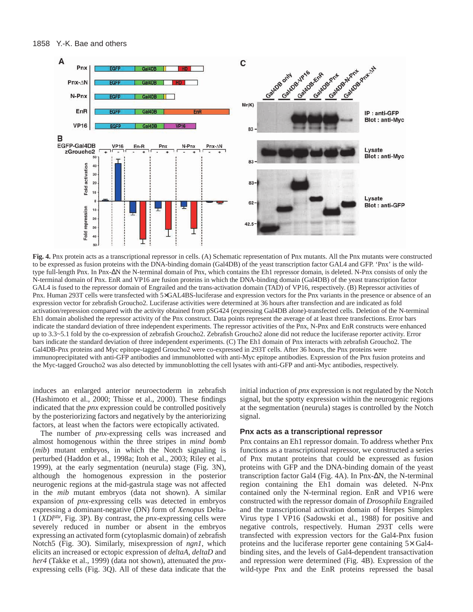

**Fig. 4.** Pnx protein acts as a transcriptional repressor in cells. (A) Schematic representation of Pnx mutants. All the Pnx mutants were constructed to be expressed as fusion proteins with the DNA-binding domain (Gal4DB) of the yeast transcription factor GAL4 and GFP. 'Pnx' is the wildtype full-length Pnx. In Pnx-∆N the N-terminal domain of Pnx, which contains the Eh1 repressor domain, is deleted. N-Pnx consists of only the N-terminal domain of Pnx. EnR and VP16 are fusion proteins in which the DNA-binding domain (Gal4DB) of the yeast transcription factor GAL4 is fused to the repressor domain of Engrailed and the trans-activation domain (TAD) of VP16, respectively. (B) Repressor activities of Pnx. Human 293T cells were transfected with 5×GAL4BS-luciferase and expression vectors for the Pnx variants in the presence or absence of an expression vector for zebrafish Groucho2. Luciferase activities were determined at 36 hours after transfection and are indicated as fold activation/repression compared with the activity obtained from pSG424 (expressing Gal4DB alone)-transfected cells. Deletion of the N-terminal Eh1 domain abolished the repressor activity of the Pnx construct. Data points represent the average of at least three transfections. Error bars indicate the standard deviation of three independent experiments. The repressor activities of the Pnx, N-Pnx and EnR constructs were enhanced up to 3.3~5.1 fold by the co-expression of zebrafish Groucho2. Zebrafish Groucho2 alone did not reduce the luciferase reporter activity. Error bars indicate the standard deviation of three independent experiments. (C) The Eh1 domain of Pnx interacts with zebrafish Groucho2. The Gal4DB-Pnx proteins and Myc epitope-tagged Groucho2 were co-expressed in 293T cells. After 36 hours, the Pnx proteins were immunoprecipitated with anti-GFP antibodies and immunoblotted with anti-Myc epitope antibodies. Expression of the Pnx fusion proteins and the Myc-tagged Groucho2 was also detected by immunoblotting the cell lysates with anti-GFP and anti-Myc antibodies, respectively.

induces an enlarged anterior neuroectoderm in zebrafish (Hashimoto et al., 2000; Thisse et al., 2000). These findings indicated that the *pnx* expression could be controlled positively by the posteriorizing factors and negatively by the anteriorizing factors, at least when the factors were ectopically activated.

The number of *pnx*-expressing cells was increased and almost homogenous within the three stripes in *mind bomb* (*mib*) mutant embryos, in which the Notch signaling is perturbed (Haddon et al., 1998a; Itoh et al., 2003; Riley et al., 1999), at the early segmentation (neurula) stage (Fig. 3N), although the homogenous expression in the posterior neurogenic regions at the mid-gastrula stage was not affected in the *mib* mutant embryos (data not shown). A similar expansion of *pnx*-expressing cells was detected in embryos expressing a dominant-negative (DN) form of *Xenopus* Delta-1 (*XDlstu*, Fig. 3P). By contrast, the *pnx*-expressing cells were severely reduced in number or absent in the embryos expressing an activated form (cytoplasmic domain) of zebrafish Notch5 (Fig. 3O). Similarly, misexpression of *ngn1*, which elicits an increased or ectopic expression of *deltaA*, *deltaD* and *her4* (Takke et al., 1999) (data not shown), attenuated the *pnx*expressing cells (Fig. 3Q). All of these data indicate that the initial induction of *pnx* expression is not regulated by the Notch signal, but the spotty expression within the neurogenic regions at the segmentation (neurula) stages is controlled by the Notch signal.

#### **Pnx acts as a transcriptional repressor**

Pnx contains an Eh1 repressor domain. To address whether Pnx functions as a transcriptional repressor, we constructed a series of Pnx mutant proteins that could be expressed as fusion proteins with GFP and the DNA-binding domain of the yeast transcription factor Gal4 (Fig. 4A). In Pnx-∆N, the N-terminal region containing the Eh1 domain was deleted. N-Pnx contained only the N-terminal region. EnR and VP16 were constructed with the repressor domain of *Drosophila* Engrailed and the transcriptional activation domain of Herpes Simplex Virus type I VP16 (Sadowski et al., 1988) for positive and negative controls, respectively. Human 293T cells were transfected with expression vectors for the Gal4-Pnx fusion proteins and the luciferase reporter gene containing  $5 \times$  Gal4binding sites, and the levels of Gal4-dependent transactivation and repression were determined (Fig. 4B). Expression of the wild-type Pnx and the EnR proteins repressed the basal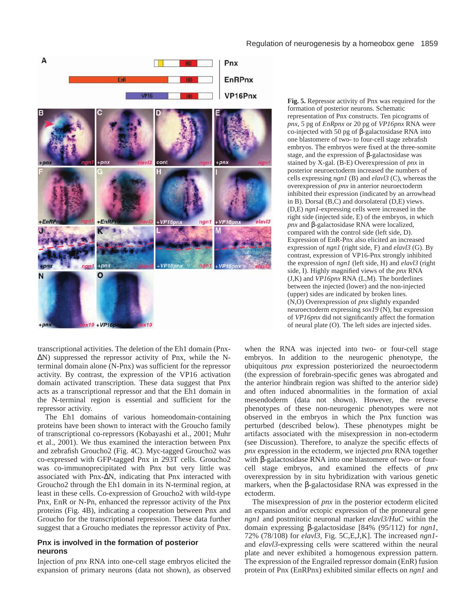



transcriptional activities. The deletion of the Eh1 domain (Pnx- ∆N) suppressed the repressor activity of Pnx, while the Nterminal domain alone (N-Pnx) was sufficient for the repressor activity. By contrast, the expression of the VP16 activation domain activated transcription. These data suggest that Pnx acts as a transcriptional repressor and that the Eh1 domain in the N-terminal region is essential and sufficient for the repressor activity.

The Eh1 domains of various homeodomain-containing proteins have been shown to interact with the Groucho family of transcriptional co-repressors (Kobayashi et al., 2001; Muhr et al., 2001). We thus examined the interaction between Pnx and zebrafish Groucho2 (Fig. 4C). Myc-tagged Groucho2 was co-expressed with GFP-tagged Pnx in 293T cells. Groucho2 was co-immunoprecipitated with Pnx but very little was associated with Pnx-∆N, indicating that Pnx interacted with Groucho2 through the Eh1 domain in its N-terminal region, at least in these cells. Co-expression of Groucho2 with wild-type Pnx, EnR or N-Pn, enhanced the repressor activity of the Pnx proteins (Fig. 4B), indicating a cooperation between Pnx and Groucho for the transcriptional repression. These data further suggest that a Groucho mediates the repressor activity of Pnx.

## **Pnx is involved in the formation of posterior neurons**

Injection of *pnx* RNA into one-cell stage embryos elicited the expansion of primary neurons (data not shown), as observed **Fig. 5.** Repressor activity of Pnx was required for the formation of posterior neurons. Schematic representation of Pnx constructs. Ten picograms of *pnx*, 5 pg of *EnRpnx* or 20 pg of *VP16pnx* RNA were co-injected with 50 pg of β-galactosidase RNA into one blastomere of two- to four-cell stage zebrafish embryos. The embryos were fixed at the three-somite stage, and the expression of β-galactosidase was stained by X-gal. (B-E) Overexpression of *pnx* in posterior neuroectoderm increased the numbers of cells expressing *ngn1* (B) and *elavl3* (C), whereas the overexpression of *pnx* in anterior neuroectoderm inhibited their expression (indicated by an arrowhead in B). Dorsal (B,C) and dorsolateral (D,E) views. (D,E) *ngn1*-expressing cells were increased in the right side (injected side, E) of the embryos, in which *pnx* and β-galactosidase RNA were localized, compared with the control side (left side, D). Expression of EnR-Pnx also elicited an increased expression of *ngn1* (right side, F) and *elavl3* (G). By contrast, expression of VP16-Pnx strongly inhibited the expression of *ngn1* (left side, H) and *elavl3* (right side, I). Highly magnified views of the *pnx* RNA (J,K) and *VP16pnx* RNA (L,M). The borderlines between the injected (lower) and the non-injected (upper) sides are indicated by broken lines. (N,O) Overexpression of *pnx* slightly expanded neuroectoderm expressing *sox19* (N), but expression of *VP16pnx* did not significantly affect the formation of neural plate (O). The left sides are injected sides.

when the RNA was injected into two- or four-cell stage embryos. In addition to the neurogenic phenotype, the ubiquitous *pnx* expression posteriorized the neuroectoderm (the expression of forebrain-specific genes was abrogated and the anterior hindbrain region was shifted to the anterior side) and often induced abnormalities in the formation of axial mesendoderm (data not shown). However, the reverse phenotypes of these non-neurogenic phenotypes were not observed in the embryos in which the Pnx function was perturbed (described below). These phenotypes might be artifacts associated with the misexpression in non-ectoderm (see Discussion). Therefore, to analyze the specific effects of *pnx* expression in the ectoderm, we injected *pnx* RNA together with β-galactosidase RNA into one blastomere of two- or fourcell stage embryos, and examined the effects of *pnx* overexpression by in situ hybridization with various genetic markers, when the β-galactosidase RNA was expressed in the ectoderm.

The misexpression of *pnx* in the posterior ectoderm elicited an expansion and/or ectopic expression of the proneural gene *ngn1* and postmitotic neuronal marker *elavl3/HuC* within the domain expressing β-galactosidase [84% (95/112) for *ngn1*, 72% (78/108) for *elavl3*, Fig. 5C,E,J,K]. The increased *ngn1* and *elavl3*-expressing cells were scattered within the neural plate and never exhibited a homogenous expression pattern. The expression of the Engrailed repressor domain (EnR) fusion protein of Pnx (EnRPnx) exhibited similar effects on *ngn1* and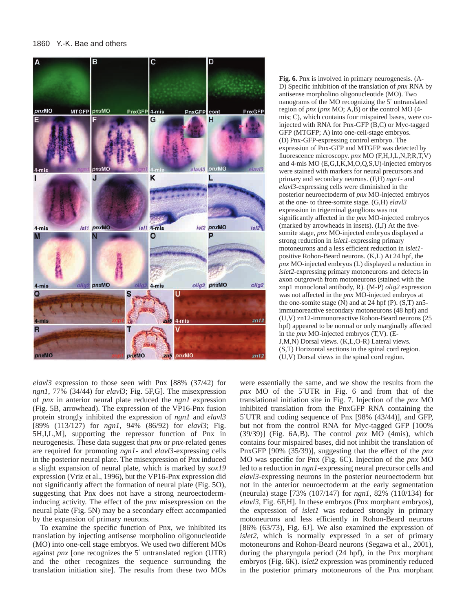

**Fig. 6.** Pnx is involved in primary neurogenesis. (A-D) Specific inhibition of the translation of *pnx* RNA by antisense morpholino oligonucleotide (MO). Two nanograms of the MO recognizing the 5′ untranslated region of *pnx* (*pnx* MO; A,B) or the control MO (4 mis; C), which contains four mispaired bases, were coinjected with RNA for Pnx-GFP (B,C) or Myc-tagged GFP (MTGFP; A) into one-cell-stage embryos. (D) Pnx-GFP-expressing control embryo. The expression of Pnx-GFP and MTGFP was detected by fluorescence microscopy. *pnx* MO (F,H,J,L,N,P,R,T,V) and 4-mis MO (E,G,I,K,M,O,Q,S,U)-injected embryos were stained with markers for neural precursors and primary and secondary neurons. (F,H) *ngn1*- and *elavl3*-expressing cells were diminished in the posterior neuroectoderm of *pnx* MO-injected embryos at the one- to three-somite stage. (G,H) *elavl3* expression in trigeminal ganglions was not significantly affected in the *pnx* MO-injected embryos (marked by arrowheads in insets). (I,J) At the fivesomite stage, *pnx* MO-injected embryos displayed a strong reduction in *islet1*-expressing primary motoneurons and a less efficient reduction in *islet1* positive Rohon-Beard neurons. (K,L) At 24 hpf, the *pnx* MO-injected embryos (L) displayed a reduction in *islet2*-expressing primary motoneurons and defects in axon outgrowth from motoneurons (stained with the znp1 monoclonal antibody, R). (M-P) *olig2* expression was not affected in the *pnx* MO-injected embryos at the one-somite stage (N) and at 24 hpf (P). (S,T) zn5 immunoreactive secondary motoneurons (48 hpf) and (U,V) zn12-immunoreactive Rohon-Beard neurons (25 hpf) appeared to be normal or only marginally affected in the *pnx* MO-injected embryos (T,V). (E-J,M,N) Dorsal views. (K,L,O-R) Lateral views. (S,T) Horizontal sections in the spinal cord region. (U,V) Dorsal views in the spinal cord region.

*elavl3* expression to those seen with Pnx [88% (37/42) for *ngn1*, 77% (34/44) for *elavl3*; Fig. 5F,G]. The misexpression of *pnx* in anterior neural plate reduced the *ngn1* expression (Fig. 5B, arrowhead). The expression of the VP16-Pnx fusion protein strongly inhibited the expression of *ngn1* and *elavl3* [89% (113/127) for *ngn1*, 94% (86/92) for *elavl3*; Fig. 5H,I,L,M], supporting the repressor function of Pnx in neurogenesis. These data suggest that *pnx* or *pnx*-related genes are required for promoting *ngn1-* and *elavl3-*expressing cells in the posterior neural plate. The misexpression of Pnx induced a slight expansion of neural plate, which is marked by *sox19* expression (Vriz et al., 1996), but the VP16-Pnx expression did not significantly affect the formation of neural plate (Fig. 5O), suggesting that Pnx does not have a strong neuroectoderminducing activity. The effect of the *pnx* misexpression on the neural plate (Fig. 5N) may be a secondary effect accompanied by the expansion of primary neurons.

To examine the specific function of Pnx, we inhibited its translation by injecting antisense morpholino oligonucleotide (MO) into one-cell stage embryos. We used two different MOs against *pnx* [one recognizes the 5′ untranslated region (UTR) and the other recognizes the sequence surrounding the translation initiation site]. The results from these two MOs

were essentially the same, and we show the results from the *pnx* MO of the 5′UTR in Fig. 6 and from that of the translational initiation site in Fig. 7. Injection of the *pnx* MO inhibited translation from the PnxGFP RNA containing the 5′UTR and coding sequence of Pnx [98% (43/44)], and GFP, but not from the control RNA for Myc-tagged GFP [100% (39/39)] (Fig. 6A,B). The control *pnx* MO (4mis), which contains four mispaired bases, did not inhibit the translation of PnxGFP [90% (35/39)], suggesting that the effect of the *pnx* MO was specific for Pnx (Fig. 6C). Injection of the *pnx* MO led to a reduction in *ngn1*-expressing neural precursor cells and *elavl3*-expressing neurons in the posterior neuroectoderm but not in the anterior neuroectoderm at the early segmentation (neurula) stage [73% (107/147) for *ngn1*, 82% (110/134) for *elavl3*, Fig. 6F,H]. In these embryos (Pnx morphant embryos), the expression of *islet1* was reduced strongly in primary motoneurons and less efficiently in Rohon-Beard neurons [86% (63/73), Fig. 6J]. We also examined the expression of *islet2*, which is normally expressed in a set of primary motoneurons and Rohon-Beard neurons (Segawa et al., 2001), during the pharyngula period (24 hpf), in the Pnx morphant embryos (Fig. 6K). *islet2* expression was prominently reduced in the posterior primary motoneurons of the Pnx morphant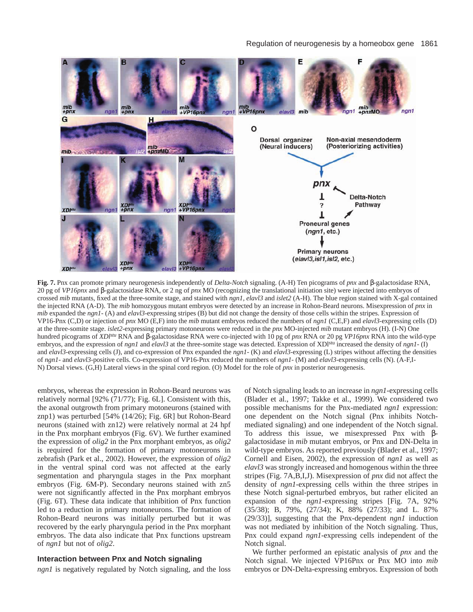

**Fig. 7.** Pnx can promote primary neurogenesis independently of *Delta-Notch* signaling. (A-H) Ten picograms of *pnx* and β-galactosidase RNA, 20 pg of *VP16pnx* and β-galactosidase RNA, or 2 ng of *pnx* MO (recognizing the translational initiation site) were injected into embryos of crossed *mib* mutants, fixed at the three-somite stage, and stained with *ngn1, elavl3* and *islet2* (A-H). The blue region stained with X-gal contained the injected RNA (A-D). The *mib* homozygous mutant embryos were detected by an increase in Rohon-Beard neurons. Misexpression of *pnx* in *mib* expanded the *ngn1-* (A) and *elavl3*-expressing stripes (B) but did not change the density of those cells within the stripes. Expression of VP16-Pnx (C,D) or injection of *pnx* MO (E,F) into the *mib* mutant embryos reduced the numbers of *ngn1* (C,E,F) and *elavl3*-expressing cells (D) at the three-somite stage. *islet2*-expressing primary motoneurons were reduced in the *pnx* MO-injected *mib* mutant embryos (H). (I-N) One hundred picograms of *XDlstu* RNA and β-galactosidase RNA were co-injected with 10 pg of *pnx* RNA or 20 pg *VP16pnx* RNA into the wild-type embryos, and the expression of *ngn1* and *elavl3* at the three-somite stage was detected. Expression of XDI<sup>stu</sup> increased the density of *ngn1*- (I) and *elavl3*-expressing cells (J), and co-expression of Pnx expanded the *ngn1*- (K) and *elavl3-*expressing (L) stripes without affecting the densities of *ngn1*- and *elavl3*-positive cells. Co-expression of VP16-Pnx reduced the numbers of *ngn1*- (M) and *elavl3*-expressing cells (N). (A-F,I-N) Dorsal views. (G,H) Lateral views in the spinal cord region. (O) Model for the role of *pnx* in posterior neurogenesis.

embryos, whereas the expression in Rohon-Beard neurons was relatively normal [92% (71/77); Fig. 6L]. Consistent with this, the axonal outgrowth from primary motoneurons (stained with znp1) was perturbed [54% (14/26); Fig. 6R] but Rohon-Beard neurons (stained with zn12) were relatively normal at 24 hpf in the Pnx morphant embryos (Fig. 6V). We further examined the expression of *olig2* in the Pnx morphant embryos, as *olig2* is required for the formation of primary motoneurons in zebrafish (Park et al., 2002). However, the expression of *olig2* in the ventral spinal cord was not affected at the early segmentation and pharyngula stages in the Pnx morphant embryos (Fig. 6M-P). Secondary neurons stained with zn5 were not significantly affected in the Pnx morphant embryos (Fig. 6T). These data indicate that inhibition of Pnx function led to a reduction in primary motoneurons. The formation of Rohon-Beard neurons was initially perturbed but it was recovered by the early pharyngula period in the Pnx morphant embryos. The data also indicate that Pnx functions upstream of *ngn1* but not of *olig2*.

# **Interaction between Pnx and Notch signaling**

*ngn1* is negatively regulated by Notch signaling, and the loss

of Notch signaling leads to an increase in *ngn1*-expressing cells (Blader et al., 1997; Takke et al., 1999). We considered two possible mechanisms for the Pnx-mediated *ngn1* expression: one dependent on the Notch signal (Pnx inhibits Notchmediated signaling) and one independent of the Notch signal. To address this issue, we misexpressed Pnx with βgalactosidase in *mib* mutant embryos, or Pnx and DN-Delta in wild-type embryos. As reported previously (Blader et al., 1997; Cornell and Eisen, 2002), the expression of *ngn1* as well as *elavl3* was strongly increased and homogenous within the three stripes (Fig. 7A,B,I,J). Misexpression of *pnx* did not affect the density of *ngn1*-expressing cells within the three stripes in these Notch signal-perturbed embryos, but rather elicited an expansion of the *ngn1*-expressing stripes [Fig. 7A, 92% (35/38); B, 79%, (27/34); K, 88% (27/33); and L. 87% (29/33)], suggesting that the Pnx-dependent *ngn1* induction was not mediated by inhibition of the Notch signaling. Thus, Pnx could expand *ngn1*-expressing cells independent of the Notch signal.

We further performed an epistatic analysis of *pnx* and the Notch signal. We injected VP16Pnx or Pnx MO into *mib* embryos or DN-Delta-expressing embryos. Expression of both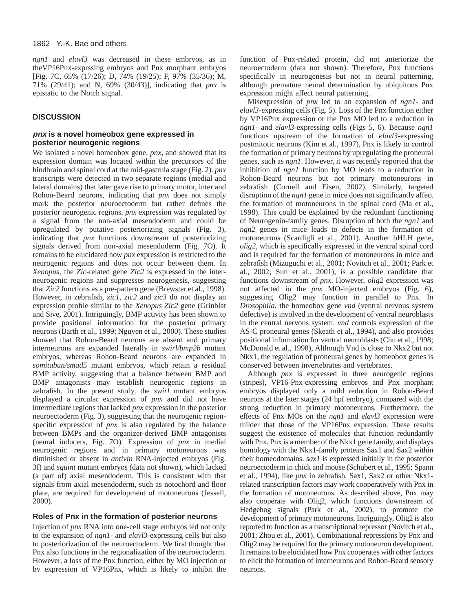*ngn1* and *elavl3* was decreased in these embryos, as in theVP16Pnx-exprssing embryos and Pnx morphant embryos [Fig. 7C, 65% (17/26); D, 74% (19/25); F, 97% (35/36); M, 71% (29/41); and N, 69% (30/43)], indicating that *pnx* is epistatic to the Notch signal.

# **DISCUSSION**

# **pnx is a novel homeobox gene expressed in posterior neurogenic regions**

We isolated a novel homeobox gene, *pnx*, and showed that its expression domain was located within the precursors of the hindbrain and spinal cord at the mid-gastrula stage (Fig. 2). *pnx* transcripts were detected in two separate regions (medial and lateral domains) that later gave rise to primary motor, inter and Rohon-Beard neurons, indicating that *pnx* does not simply mark the posterior neuroectoderm but rather defines the posterior neurogenic regions. *pnx* expression was regulated by a signal from the non-axial mesendoderm and could be upregulated by putative posteriorizing signals (Fig. 3), indicating that *pnx* functions downstream of posteriorizing signals derived from non-axial mesendoderm (Fig. 7O). It remains to be elucidated how *pnx* expression is restricted to the neurogenic regions and does not occur between them. In *Xenopus*, the *Zic*-related gene *Zic2* is expressed in the interneurogenic regions and suppresses neurogenesis, suggesting that *Zic2* functions as a pre-pattern gene (Brewster et al., 1998). However, in zebrafish, *zic1*, *zic2* and *zic3* do not display an expression profile similar to the *Xenopus Zic2* gene (Grinblat and Sive, 2001). Intriguingly, BMP activity has been shown to provide positional information for the posterior primary neurons (Barth et al., 1999; Nguyen et al., 2000). These studies showed that Rohon-Beard neurons are absent and primary interneurons are expanded laterally in *swirl/bmp2b* mutant embryos, whereas Rohon-Beard neurons are expanded in *somitabun/smad5* mutant embryos, which retain a residual BMP activity, suggesting that a balance between BMP and BMP antagonists may establish neurogenic regions in zebrafish. In the present study, the *swirl* mutant embryos displayed a circular expression of *pnx* and did not have intermediate regions that lacked *pnx* expression in the posterior neuroectoderm (Fig. 3), suggesting that the neurogenic regionspecific expression of *pnx* is also regulated by the balance between BMPs and the organizer-derived BMP antagonists (neural inducers, Fig. 7O). Expression of *pnx* in medial neurogenic regions and in primary motoneurons was diminished or absent in *antivin* RNA-injected embryos (Fig. 3I) and *squint* mutant embryos (data not shown), which lacked (a part of) axial mesendoderm. This is consistent with that signals from axial mesendoderm, such as notochord and floor plate, are required for development of motoneurons (Jessell, 2000).

## **Roles of Pnx in the formation of posterior neurons**

Injection of *pnx* RNA into one-cell stage embryos led not only to the expansion of *ngn1*- and *elavl3*-expressing cells but also to posteriorization of the neuroectoderm. We first thought that Pnx also functions in the regionalization of the neuroectoderm. However, a loss of the Pnx function, either by MO injection or by expression of VP16Pnx, which is likely to inhibit the function of Pnx-related protein, did not anteriorize the neuroectoderm (data not shown). Therefore, Pnx functions specifically in neurogenesis but not in neural patterning, although premature neural determination by ubiquitous Pnx expression might affect neural patterning.

Misexpression of *pnx* led to an expansion of *ngn1*- and *elavl3*-expressing cells (Fig. 5). Loss of the Pnx function either by VP16Pnx expression or the Pnx MO led to a reduction in *ngn1*- and *elavl3*-expressing cells (Figs 5, 6). Because *ngn1* functions upstream of the formation of *elavl3*-expressing postmitotic neurons (Kim et al., 1997), Pnx is likely to control the formation of primary neurons by upregulating the proneural genes, such as *ngn1*. However, it was recently reported that the inhibition of *ngn1* function by MO leads to a reduction in Rohon-Beard neurons but not primary motoneurons in zebrafish (Cornell and Eisen, 2002). Similarly, targeted disruption of the *ngn1* gene in mice does not significantly affect the formation of motoneurons in the spinal cord (Ma et al., 1998). This could be explained by the redundant functioning of Neurogenin-family genes. Disruption of both the *ngn1* and *ngn2* genes in mice leads to defects in the formation of motoneurons (Scardigli et al., 2001). Another bHLH gene, *olig2*, which is specifically expressed in the ventral spinal cord and is required for the formation of motoneurons in mice and zebrafish (Mizuguchi et al., 2001; Novitch et al., 2001; Park et al., 2002; Sun et al., 2001), is a possible candidate that functions downstream of *pnx*. However, *olig2* expression was not affected in the *pnx* MO-injected embryos (Fig. 6), suggesting Olig2 may function in parallel to Pnx. In *Drosophila*, the homeobox gene *vnd* (ventral nervous system defective) is involved in the development of ventral neuroblasts in the central nervous system. *vnd* controls expression of the AS-C proneural genes (Skeath et al., 1994), and also provides positional information for ventral neuroblasts (Chu et al., 1998; McDonald et al., 1998), Although Vnd is close to Nkx2 but not Nkx1, the regulation of proneural genes by homeobox genes is conserved between invertebrates and vertebrates.

Although *pnx* is expressed in three neurogenic regions (stripes), VP16-Pnx-expressing embryos and Pnx morphant embryos displayed only a mild reduction in Rohon-Beard neurons at the later stages (24 hpf embryo), compared with the strong reduction in primary motoneurons. Furthermore, the effects of Pnx MOs on the *ngn1* and *elavl3* expression were milder that those of the VP16Pnx expression. These results suggest the existence of molecules that function redundantly with Pnx. Pnx is a member of the Nkx1 gene family, and displays homology with the Nkx1-family proteins Sax1 and Sax2 within their homeodomains. *sax1* is expressed initially in the posterior neuroectoderm in chick and mouse (Schubert et al., 1995; Spann et al., 1994), like *pnx* in zebrafish. Sax1, Sax2 or other Nkx1 related transcription factors may work cooperatively with Pnx in the formation of motoneurons. As described above, Pnx may also cooperate with Olig2, which functions downstream of Hedgehog signals (Park et al., 2002), to promote the development of primary motoneurons. Intriguingly, Olig2 is also reported to function as a transcriptional repressor (Novitch et al., 2001; Zhou et al., 2001). Combinational repressions by Pnx and Olig2 may be required for the primary motoneuron development. It remains to be elucidated how Pnx cooperates with other factors to elicit the formation of interneurons and Rohon-Beard sensory neurons.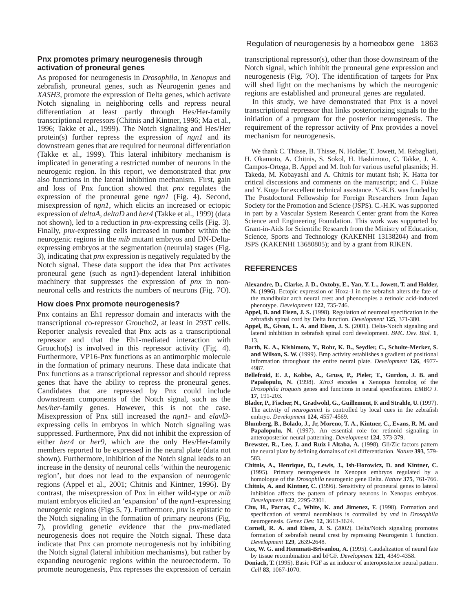# **Pnx promotes primary neurogenesis through activation of proneural genes**

As proposed for neurogenesis in *Drosophila*, in *Xenopus* and zebrafish, proneural genes, such as Neurogenin genes and *XASH3,* promote the expression of Delta genes, which activate Notch signaling in neighboring cells and repress neural differentiation at least partly through Hes/Her-family transcriptional repressors (Chitnis and Kintner, 1996; Ma et al., 1996; Takke et al., 1999). The Notch signaling and Hes/Her protein(s) further repress the expression of *ngn1* and its downstream genes that are required for neuronal differentiation (Takke et al., 1999). This lateral inhibitory mechanism is implicated in generating a restricted number of neurons in the neurogenic region. In this report, we demonstrated that *pnx* also functions in the lateral inhibition mechanism. First, gain and loss of Pnx function showed that *pnx* regulates the expression of the proneural gene *ngn1* (Fig. 4). Second, misexpression of *ngn1*, which elicits an increased or ectopic expression of *deltaA*, *deltaD* and *her4* (Takke et al., 1999) (data not shown), led to a reduction in *pnx*-expressing cells (Fig. 3). Finally, *pnx*-expressing cells increased in number within the neurogenic regions in the *mib* mutant embryos and DN-Deltaexpressing embryos at the segmentation (neurula) stages (Fig. 3), indicating that *pnx* expression is negatively regulated by the Notch signal. These data support the idea that Pnx activates proneural gene (such as *ngn1*)-dependent lateral inhibition machinery that suppresses the expression of *pnx* in nonneuronal cells and restricts the numbers of neurons (Fig. 7O).

## **How does Pnx promote neurogenesis?**

Pnx contains an Eh1 repressor domain and interacts with the transcriptional co-repressor Groucho2, at least in 293T cells. Reporter analysis revealed that Pnx acts as a transcriptional repressor and that the Eh1-mediated interaction with Groucho(s) is involved in this repressor activity (Fig. 4). Furthermore, VP16-Pnx functions as an antimorphic molecule in the formation of primary neurons. These data indicate that Pnx functions as a transcriptional repressor and should repress genes that have the ability to repress the proneural genes. Candidates that are repressed by Pnx could include downstream components of the Notch signal, such as the *hes/her*-family genes. However, this is not the case. Misexpression of Pnx still increased the *ngn1*- and *elavl3* expressing cells in embryos in which Notch signaling was suppressed. Furthermore, Pnx did not inhibit the expression of either *her4* or *her9*, which are the only Hes/Her-family members reported to be expressed in the neural plate (data not shown). Furthermore, inhibition of the Notch signal leads to an increase in the density of neuronal cells 'within the neurogenic region', but does not lead to the expansion of neurogenic regions (Appel et al., 2001; Chitnis and Kintner, 1996). By contrast, the misexpression of Pnx in either wild-type or *mib* mutant embryos elicited an 'expansion' of the *ngn1*-expressing neurogenic regions (Figs 5, 7). Furthermore, *pnx* is epistatic to the Notch signaling in the formation of primary neurons (Fig. 7), providing genetic evidence that the *pnx*-mediated neurogenesis does not require the Notch signal. These data indicate that Pnx can promote neurogenesis not by inhibiting the Notch signal (lateral inhibition mechanisms), but rather by expanding neurogenic regions within the neuroectoderm. To promote neurogenesis, Pnx represses the expression of certain transcriptional repressor(s), other than those downstream of the Notch signal, which inhibit the proneural gene expression and neurogenesis (Fig. 7O). The identification of targets for Pnx will shed light on the mechanisms by which the neurogenic regions are established and proneural genes are regulated.

In this study, we have demonstrated that Pnx is a novel transcriptional repressor that links posteriorizing signals to the initiation of a program for the posterior neurogenesis. The requirement of the repressor activity of Pnx provides a novel mechanism for neurogenesis.

We thank C. Thisse, B. Thisse, N. Holder, T. Jowett, M. Rebagliati, H. Okamoto, A. Chitnis, S. Sokol, H. Hashimoto, C. Takke, J. A. Campos-Ortega, B. Appel and M. Itoh for various useful plasmids; H. Takeda, M. Kobayashi and A. Chitnis for mutant fish; K. Hatta for critical discussions and comments on the manuscript; and C. Fukae and Y. Kuga for excellent technical assistance. Y.-K.B. was funded by The Postdoctoral Fellowship for Foreign Researchers from Japan Society for the Promotion and Science (JSPS). C.-H.K. was supported in part by a Vascular System Research Center grant from the Korea Science and Engineering Foundation. This work was supported by Grant-in-Aids for Scientific Research from the Ministry of Education, Science, Sports and Technology (KAKENHI 13138204) and from JSPS (KAKENHI 13680805); and by a grant from RIKEN.

# **REFERENCES**

- **Alexandre, D., Clarke, J. D., Oxtoby, E., Yan, Y. L., Jowett, T. and Holder, N.** (1996). Ectopic expression of Hoxa-1 in the zebrafish alters the fate of the mandibular arch neural crest and phenocopies a retinoic acid-induced phenotype. *Development* **122**, 735-746.
- **Appel, B. and Eisen, J. S.** (1998). Regulation of neuronal specification in the zebrafish spinal cord by Delta function. *Development* **125**, 371-380.
- **Appel, B., Givan, L. A. and Eisen, J. S.** (2001). Delta-Notch signaling and lateral inhibition in zebrafish spinal cord development. *BMC Dev. Biol.* **1**, 13.
- **Barth, K. A., Kishimoto, Y., Rohr, K. B., Seydler, C., Schulte-Merker, S. and Wilson, S. W.** (1999). Bmp activity establishes a gradient of positional information throughout the entire neural plate. *Development* **126**, 4977- 4987.
- **Bellefroid, E. J., Kobbe, A., Gruss, P., Pieler, T., Gurdon, J. B. and Papalopulu, N.** (1998). *Xiro3* encodes a Xenopus homolog of the *Drosophila Iroquois* genes and functions in neural specification. *EMBO J.* **17**, 191-203.
- **Blader, P., Fischer, N., Gradwohl, G., Guillemont, F. and Strahle, U.** (1997). The activity of *neurogenin1* is controlled by local cues in the zebrafish embryo. *Development* **124**, 4557-4569.
- **Blumberg, B., Bolado, J., Jr, Moreno, T. A., Kintner, C., Evans, R. M. and** Papalopulu, N. (1997). An essential role for retinoid signaling in anteroposterior neural patterning. *Development* **124**, 373-379.
- **Brewster, R., Lee, J. and Ruiz i Altaba, A.** (1998). Gli/Zic factors pattern the neural plate by defining domains of cell differentiation. *Nature* **393**, 579- 583.
- **Chitnis, A., Henrique, D., Lewis, J., Ish-Horowicz, D. and Kintner, C.** (1995). Primary neurogenesis in Xenopus embryos regulated by a homologue of the *Drosophila* neurogenic gene Delta. *Nature* **375**, 761-766.
- **Chitnis, A. and Kintner, C.** (1996). Sensitivity of proneural genes to lateral inhibition affects the pattern of primary neurons in Xenopus embryos. *Development* **122**, 2295-2301.
- **Chu, H., Parras, C., White, K. and Jimenez, F.** (1998). Formation and specification of ventral neuroblasts is controlled by *vnd* in *Drosophila* neurogenesis. *Genes Dev.* **12**, 3613-3624.
- **Cornell, R. A. and Eisen, J. S.** (2002). Delta/Notch signaling promotes formation of zebrafish neural crest by repressing Neurogenin 1 function. *Development* **129**, 2639-2648.
- **Cox, W. G. and Hemmati-Brivanlou, A.** (1995). Caudalization of neural fate by tissue recombination and bFGF. *Development* **121**, 4349-4358.
- **Doniach, T.** (1995). Basic FGF as an inducer of anteroposterior neural pattern. *Cell* **83**, 1067-1070.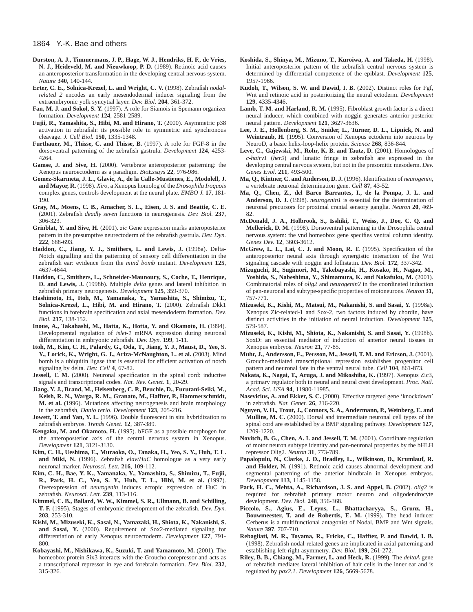- **Durston, A. J., Timmermans, J. P., Hage, W. J., Hendriks, H. F., de Vries, N. J., Heideveld, M. and Nieuwkoop, P. D.** (1989). Retinoic acid causes an anteroposterior transformation in the developing central nervous system. *Nature* **340**, 140-144.
- **Erter, C. E., Solnica-Krezel, L. and Wright, C. V.** (1998). Zebrafish *nodalrelated 2* encodes an early mesendodermal inducer signaling from the extraembryonic yolk syncytial layer. *Dev. Biol.* **204**, 361-372.
- **Fan, M. J. and Sokol, S. Y.** (1997). A role for Siamois in Spemann organizer formation. *Development* **124**, 2581-2589.
- **Fujii, R., Yamashita, S., Hibi, M. and Hirano, T.** (2000). Asymmetric p38 activation in zebrafish: its possible role in symmetric and synchronous cleavage. *J. Cell Biol.* **150**, 1335-1348.
- **Furthauer, M., Thisse, C. and Thisse, B.** (1997). A role for FGF-8 in the dorsoventral patterning of the zebrafish gastrula. *Development* **124**, 4253- 4264.
- **Gamse, J. and Sive, H.** (2000). Vertebrate anteroposterior patterning: the Xenopus neuroectoderm as a paradigm. *BioEssays* **22**, 976-986.
- **Gomez-Skarmeta, J. L., Glavic, A., de la Calle-Mustienes, E., Modolell, J. and Mayor, R.** (1998). *Xiro*, a Xenopus homolog of the *Drosophila Iroquois* complex genes, controls development at the neural plate. *EMBO J.* **17**, 181- 190.
- **Gray, M., Moens, C. B., Amacher, S. L., Eisen, J. S. and Beattie, C. E.** (2001). Zebrafish *deadly seven* functions in neurogenesis. *Dev. Biol.* **237**, 306-323.
- **Grinblat, Y. and Sive, H.** (2001). *zic* Gene expression marks anteroposterior pattern in the presumptive neurectoderm of the zebrafish gastrula. *Dev. Dyn.* **222**, 688-693.
- **Haddon, C., Jiang, Y. J., Smithers, L. and Lewis, J.** (1998a). Delta-Notch signalling and the patterning of sensory cell differentiation in the zebrafish ear: evidence from the *mind bomb* mutant. *Development* **125**, 4637-4644.
- **Haddon, C., Smithers, L., Schneider-Maunoury, S., Coche, T., Henrique, D. and Lewis, J.** (1998b). Multiple *delta* genes and lateral inhibition in zebrafish primary neurogenesis. *Development* **125**, 359-370.
- **Hashimoto, H., Itoh, M., Yamanaka, Y., Yamashita, S., Shimizu, T., Solnica-Krezel, L., Hibi, M. and Hirano, T.** (2000). Zebrafish Dkk1 functions in forebrain specification and axial mesendoderm formation. *Dev. Biol.* **217**, 138-152.
- **Inoue, A., Takahashi, M., Hatta, K., Hotta, Y. and Okamoto, H.** (1994). Developmental regulation of *islet-1* mRNA expression during neuronal differentiation in embryonic zebrafish. *Dev. Dyn.* **199**, 1-11.
- **Itoh, M., Kim, C. H., Palardy, G., Oda, T., Jiang, Y. J., Maust, D., Yeo, S. Y., Lorick, K., Wright, G. J., Ariza-McNaughton, L. et al.** (2003). Mind bomb is a ubiquitin ligase that is essential for efficient activation of notch signaling by delta. *Dev. Cell* **4**, 67-82.
- **Jessell, T. M.** (2000). Neuronal specification in the spinal cord: inductive signals and transcriptional codes. *Nat. Rev. Genet.* **1**, 20-29.
- **Jiang, Y. J., Brand, M., Heisenberg, C. P., Beuchle, D., Furutani-Seiki, M., Kelsh, R. N., Warga, R. M., Granato, M., Haffter, P., Hammerschmidt, M. et al. (**1996). Mutations affecting neurogenesis and brain morphology in the zebrafish, *Danio rerio*. *Development* **123**, 205-216.
- **Jowett, T. and Yan, Y. L.** (1996). Double fluorescent in situ hybridization to zebrafish embryos. *Trends Genet.* **12**, 387-389.
- **Kengaku, M. and Okamoto, H.** (1995). bFGF as a possible morphogen for the anteroposterior axis of the central nervous system in Xenopus. *Development* **121**, 3121-3130.
- **Kim, C. H., Ueshima, E., Muraoka, O., Tanaka, H., Yeo, S. Y., Huh, T. L. and Miki, N.** (1996). Zebrafish *elav/HuC* homologue as a very early neuronal marker. *Neurosci. Lett.* **216**, 109-112.
- **Kim, C. H., Bae, Y. K., Yamanaka, Y., Yamashita, S., Shimizu, T., Fujii, R., Park, H. C., Yeo, S. Y., Huh, T. L., Hibi, M. et al.** (1997). Overexpression of *neurogenin* induces ectopic expression of HuC in zebrafish. *Neurosci. Lett.* **239**, 113-116.
- **Kimmel, C. B., Ballard, W. W., Kimmel, S. R., Ullmann, B. and Schilling, T. F.** (1995). Stages of embryonic development of the zebrafish. *Dev. Dyn.* **203**, 253-310.
- **Kishi, M., Mizuseki, K., Sasai, N., Yamazaki, H., Shiota, K., Nakanishi, S. and Sasai, Y.** (2000). Requirement of Sox2-mediated signaling for differentiation of early Xenopus neuroectoderm. *Development* **127**, 791- 800.
- **Kobayashi, M., Nishikawa, K., Suzuki, T. and Yamamoto, M.** (2001). The homeobox protein Six3 interacts with the Groucho corepressor and acts as a transcriptional repressor in eye and forebrain formation. *Dev. Biol.* **232**, 315-326.
- **Koshida, S., Shinya, M., Mizuno, T., Kuroiwa, A. and Takeda, H.** (1998). Initial anteroposterior pattern of the zebrafish central nervous system is determined by differential competence of the epiblast. *Development* **125**, 1957-1966.
- **Kudoh, T., Wilson, S. W. and Dawid, I. B.** (2002). Distinct roles for Fgf, Wnt and retinoic acid in posteriorizing the neural ectoderm. *Development* **129**, 4335-4346.
- **Lamb, T. M. and Harland, R. M.** (1995). Fibroblast growth factor is a direct neural inducer, which combined with noggin generates anterior-posterior neural pattern. *Development* **121**, 3627-3636.
- **Lee, J. E., Hollenberg, S. M., Snider, L., Turner, D. L., Lipnick, N. and Weintraub, H.** (1995). Conversion of Xenopus ectoderm into neurons by NeuroD, a basic helix-loop-helix protein. *Science* **268**, 836-844.
- **Leve, C., Gajewski, M., Rohr, K. B. and Tautz, D.** (2001). Homologues of *c-hairy1* (*her9*) and lunatic fringe in zebrafish are expressed in the developing central nervous system, but not in the presomitic mesoderm. *Dev. Genes Evol.* **211**, 493-500.
- **Ma, Q., Kintner, C. and Anderson, D. J.** (1996). Identification of *neurogenin*, a vertebrate neuronal determination gene. *Cell* **87**, 43-52.
- **Ma, Q., Chen, Z., del Barco Barrantes, I., de la Pompa, J. L. and Anderson, D. J.** (1998). *neurogenin1* is essential for the determination of neuronal precursors for proximal cranial sensory ganglia. *Neuron* **20**, 469- 82.
- **McDonald, J. A., Holbrook, S., Isshiki, T., Weiss, J., Doe, C. Q. and Mellerick, D. M.** (1998). Dorsoventral patterning in the Drosophila central nervous system: the vnd homeobox gene specifies ventral column identity. *Genes Dev.* **12**, 3603-3612.
- **McGrew, L. L., Lai, C. J. and Moon, R. T.** (1995). Specification of the anteroposterior neural axis through synergistic interaction of the Wnt signaling cascade with noggin and follistatin. *Dev. Biol.* **172**, 337-342.
- **Mizuguchi, R., Sugimori, M., Takebayashi, H., Kosako, H., Nagao, M., Yoshida, S., Nabeshima, Y., Shimamura, K. and Nakafuku, M.** (2001). Combinatorial roles of *olig2* and *neurogenin2* in the coordinated induction of pan-neuronal and subtype-specific properties of motoneurons. *Neuron* **31**, 757-771.
- **Mizuseki, K., Kishi, M., Matsui, M., Nakanishi, S. and Sasai, Y.** (1998a). Xenopus Zic-related-1 and Sox-2, two factors induced by chordin, have distinct activities in the initiation of neural induction. *Development* **125**, 579-587.
- **Mizuseki, K., Kishi, M., Shiota, K., Nakanishi, S. and Sasai, Y.** (1998b). SoxD: an essential mediator of induction of anterior neural tissues in Xenopus embryos. *Neuron* **21**, 77-85.
- **Muhr, J., Andersson, E., Persson, M., Jessell, T. M. and Ericson, J.** (2001). Groucho-mediated transcriptional repression establishes progenitor cell pattern and neuronal fate in the ventral neural tube. *Cell* **104**, 861-873.
- **Nakata, K., Nagai, T., Aruga, J. and Mikoshiba, K.** (1997). Xenopus Zic3, a primary regulator both in neural and neural crest development. *Proc. Natl. Acad. Sci. USA* **94**, 11980-11985.
- **Nasevicius, A. and Ekker, S. C.** (2000). Effective targeted gene 'knockdown' in zebrafish. *Nat. Genet.* **26**, 216-220.
- **Nguyen, V. H., Trout, J., Connors, S. A., Andermann, P., Weinberg, E. and Mullins, M. C.** (2000). Dorsal and intermediate neuronal cell types of the spinal cord are established by a BMP signaling pathway. *Development* **127**, 1209-1220.
- **Novitch, B. G., Chen, A. I. and Jessell, T. M.** (2001). Coordinate regulation of motor neuron subtype identity and pan-neuronal properties by the bHLH repressor Olig2. *Neuron* **31**, 773-789.
- **Papalopulu, N., Clarke, J. D., Bradley, L., Wilkinson, D., Krumlauf, R. and Holder, N.** (1991). Retinoic acid causes abnormal development and segmental patterning of the anterior hindbrain in Xenopus embryos. *Development* **113**, 1145-1158.
- **Park, H. C., Mehta, A., Richardson, J. S. and Appel, B.** (2002). *olig2* is required for zebrafish primary motor neuron and oligodendrocyte development. *Dev. Biol.* **248**, 356-368.
- **Piccolo, S., Agius, E., Leyns, L., Bhattacharyya, S., Grunz, H., Bouwmeester, T. and de Robertis, E. M.** (1999). The head inducer Cerberus is a multifunctional antagonist of Nodal, BMP and Wnt signals. *Nature* **397**, 707-710.
- **Rebagliati, M. R., Toyama, R., Fricke, C., Haffter, P. and Dawid, I. B.** (1998). Zebrafish nodal-related genes are implicated in axial patterning and establishing left-right asymmetry. *Dev. Biol.* **199**, 261-272.
- **Riley, B. B., Chiang, M., Farmer, L. and Heck, R.** (1999). The *deltaA* gene of zebrafish mediates lateral inhibition of hair cells in the inner ear and is regulated by *pax2.1*. *Development* **126**, 5669-5678.